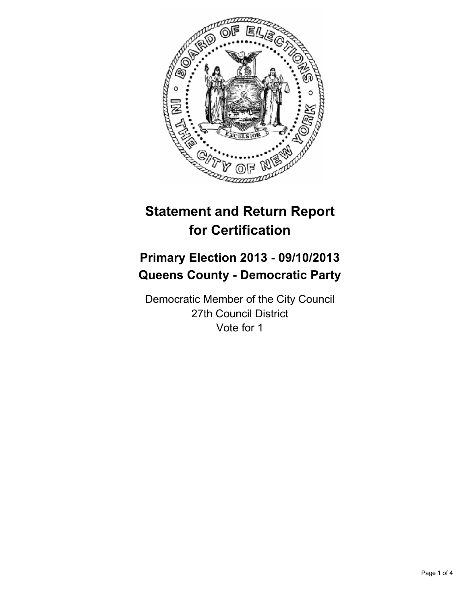

# **Statement and Return Report for Certification**

## **Primary Election 2013 - 09/10/2013 Queens County - Democratic Party**

Democratic Member of the City Council 27th Council District Vote for 1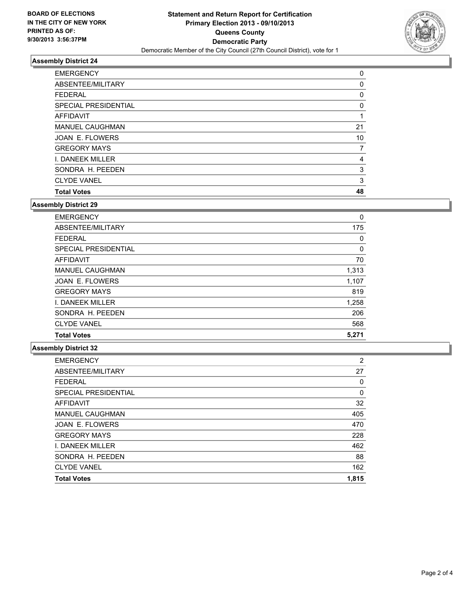

### **Assembly District 24**

| <b>EMERGENCY</b>       | 0  |
|------------------------|----|
| ABSENTEE/MILITARY      | 0  |
| <b>FEDERAL</b>         | 0  |
| SPECIAL PRESIDENTIAL   | 0  |
| <b>AFFIDAVIT</b>       |    |
| <b>MANUEL CAUGHMAN</b> | 21 |
| JOAN E. FLOWERS        | 10 |
| <b>GREGORY MAYS</b>    | 7  |
| I. DANEEK MILLER       | 4  |
| SONDRA H. PEEDEN       | 3  |
| <b>CLYDE VANEL</b>     | 3  |
| <b>Total Votes</b>     | 48 |

#### **Assembly District 29**

| <b>EMERGENCY</b>       | 0     |
|------------------------|-------|
| ABSENTEE/MILITARY      | 175   |
| <b>FEDERAL</b>         | 0     |
| SPECIAL PRESIDENTIAL   | 0     |
| AFFIDAVIT              | 70    |
| <b>MANUEL CAUGHMAN</b> | 1,313 |
| <b>JOAN E. FLOWERS</b> | 1,107 |
| <b>GREGORY MAYS</b>    | 819   |
| I. DANEEK MILLER       | 1,258 |
| SONDRA H. PEEDEN       | 206   |
| <b>CLYDE VANEL</b>     | 568   |
| <b>Total Votes</b>     | 5,271 |

#### **Assembly District 32**

| <b>EMERGENCY</b>            | $\overline{2}$ |
|-----------------------------|----------------|
| ABSENTEE/MILITARY           | 27             |
| <b>FEDERAL</b>              | 0              |
| <b>SPECIAL PRESIDENTIAL</b> | 0              |
| <b>AFFIDAVIT</b>            | 32             |
| <b>MANUEL CAUGHMAN</b>      | 405            |
| <b>JOAN E. FLOWERS</b>      | 470            |
| <b>GREGORY MAYS</b>         | 228            |
| <b>I. DANEEK MILLER</b>     | 462            |
| SONDRA H. PEEDEN            | 88             |
| <b>CLYDE VANEL</b>          | 162            |
| <b>Total Votes</b>          | 1,815          |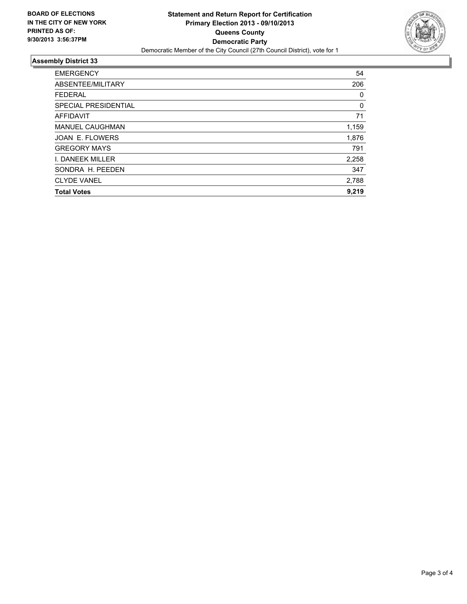

### **Assembly District 33**

| <b>EMERGENCY</b>            | 54    |
|-----------------------------|-------|
| ABSENTEE/MILITARY           | 206   |
| <b>FEDERAL</b>              | 0     |
| <b>SPECIAL PRESIDENTIAL</b> | 0     |
| <b>AFFIDAVIT</b>            | 71    |
| <b>MANUEL CAUGHMAN</b>      | 1,159 |
| JOAN E. FLOWERS             | 1,876 |
| <b>GREGORY MAYS</b>         | 791   |
| I. DANEEK MILLER            | 2,258 |
| SONDRA H. PEEDEN            | 347   |
| <b>CLYDE VANEL</b>          | 2,788 |
| <b>Total Votes</b>          | 9,219 |